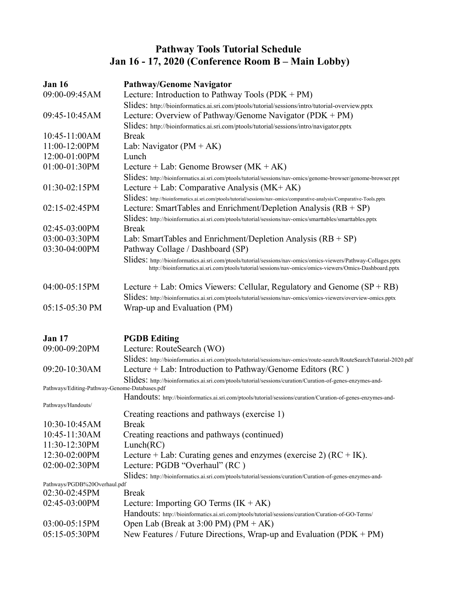## **Pathway Tools Tutorial Schedule Jan 16 - 17, 2020 (Conference Room B – Main Lobby)**

| <b>Jan 16</b><br><b>Pathway/Genome Navigator</b> |                                                                                                                                                                                                                           |  |  |
|--------------------------------------------------|---------------------------------------------------------------------------------------------------------------------------------------------------------------------------------------------------------------------------|--|--|
| 09:00-09:45AM                                    | Lecture: Introduction to Pathway Tools $(PDK + PM)$                                                                                                                                                                       |  |  |
|                                                  | Slides: http://bioinformatics.ai.sri.com/ptools/tutorial/sessions/intro/tutorial-overview.pptx                                                                                                                            |  |  |
| 09:45-10:45AM                                    | Lecture: Overview of Pathway/Genome Navigator (PDK + PM)                                                                                                                                                                  |  |  |
|                                                  | Slides: http://bioinformatics.ai.sri.com/ptools/tutorial/sessions/intro/navigator.pptx                                                                                                                                    |  |  |
| 10:45-11:00AM                                    | <b>Break</b>                                                                                                                                                                                                              |  |  |
| 11:00-12:00PM                                    | Lab: Navigator $(PM + AK)$                                                                                                                                                                                                |  |  |
| 12:00-01:00PM                                    | Lunch                                                                                                                                                                                                                     |  |  |
| 01:00-01:30PM                                    | Lecture + Lab: Genome Browser $(MK + AK)$                                                                                                                                                                                 |  |  |
|                                                  | Slides: http://bioinformatics.ai.sri.com/ptools/tutorial/sessions/nav-omics/genome-browser/genome-browser.ppt                                                                                                             |  |  |
| 01:30-02:15PM                                    | Lecture + Lab: Comparative Analysis ( $MK+AK$ )                                                                                                                                                                           |  |  |
|                                                  | Slides: http://bioinformatics.ai.sri.com/ptools/tutorial/sessions/nav-omics/comparative-analysis/Comparative-Tools.pptx                                                                                                   |  |  |
| $02:15-02:45PM$                                  | Lecture: SmartTables and Enrichment/Depletion Analysis $(RB + SP)$                                                                                                                                                        |  |  |
|                                                  | Slides: http://bioinformatics.ai.sri.com/ptools/tutorial/sessions/nav-omics/smarttables/smarttables.pptx                                                                                                                  |  |  |
| 02:45-03:00PM                                    | <b>Break</b>                                                                                                                                                                                                              |  |  |
| 03:00-03:30PM                                    | Lab: SmartTables and Enrichment/Depletion Analysis $(RB + SP)$                                                                                                                                                            |  |  |
| 03:30-04:00PM                                    | Pathway Collage / Dashboard (SP)                                                                                                                                                                                          |  |  |
|                                                  | Slides: http://bioinformatics.ai.sri.com/ptools/tutorial/sessions/nav-omics/omics-viewers/Pathway-Collages.pptx<br>http://bioinformatics.ai.sri.com/ptools/tutorial/sessions/nav-omics/omics-viewers/Omics-Dashboard.pptx |  |  |
| 04:00-05:15PM                                    | Lecture $+$ Lab: Omics Viewers: Cellular, Regulatory and Genome $(SP + RB)$                                                                                                                                               |  |  |
|                                                  | Slides: http://bioinformatics.ai.sri.com/ptools/tutorial/sessions/nav-omics/omics-viewers/overview-omics.pptx                                                                                                             |  |  |
| 05:15-05:30 PM                                   | Wrap-up and Evaluation (PM)                                                                                                                                                                                               |  |  |
| <b>Jan 17</b>                                    | <b>PGDB</b> Editing                                                                                                                                                                                                       |  |  |
| 09:00-09:20PM                                    | Lecture: RouteSearch (WO)                                                                                                                                                                                                 |  |  |
|                                                  | Slides: http://bioinformatics.ai.sri.com/ptools/tutorial/sessions/nav-omics/route-search/RouteSearchTutorial-2020.pdf                                                                                                     |  |  |
| 09:20-10:30AM                                    | Lecture + Lab: Introduction to Pathway/Genome Editors (RC)                                                                                                                                                                |  |  |
|                                                  | Slides: http://bioinformatics.ai.sri.com/ptools/tutorial/sessions/curation/Curation-of-genes-enzymes-and-                                                                                                                 |  |  |
| Pathways/Editing-Pathway-Genome-Databases.pdf    |                                                                                                                                                                                                                           |  |  |
|                                                  | Handouts: http://bioinformatics.ai.sri.com/ptools/tutorial/sessions/curation/Curation-of-genes-enzymes-and-                                                                                                               |  |  |
| Pathways/Handouts/                               |                                                                                                                                                                                                                           |  |  |
|                                                  | Creating reactions and pathways (exercise 1)                                                                                                                                                                              |  |  |
| $10:30-10:45AM$                                  | <b>Break</b>                                                                                                                                                                                                              |  |  |
| 10:45-11:30AM                                    | Creating reactions and pathways (continued)                                                                                                                                                                               |  |  |
| 11:30-12:30PM                                    | Lunch(RC)                                                                                                                                                                                                                 |  |  |
| 12:30-02:00PM                                    | Lecture + Lab: Curating genes and enzymes (exercise 2) $(RC + IK)$ .                                                                                                                                                      |  |  |
| 02:00-02:30PM                                    | Lecture: PGDB "Overhaul" (RC)                                                                                                                                                                                             |  |  |
|                                                  | Slides: http://bioinformatics.ai.sri.com/ptools/tutorial/sessions/curation/Curation-of-genes-enzymes-and-                                                                                                                 |  |  |
| Pathways/PGDB%20Overhaul.pdf                     | <b>Break</b>                                                                                                                                                                                                              |  |  |
| 02:30-02:45PM<br>02:45-03:00PM                   | Lecture: Importing GO Terms $(IK + AK)$                                                                                                                                                                                   |  |  |
|                                                  |                                                                                                                                                                                                                           |  |  |
| 03:00-05:15PM                                    | Handouts: http://bioinformatics.ai.sri.com/ptools/tutorial/sessions/curation/Curation-of-GO-Terms/<br>Open Lab (Break at $3:00$ PM) (PM + AK)                                                                             |  |  |
| 05:15-05:30PM                                    |                                                                                                                                                                                                                           |  |  |
|                                                  | New Features / Future Directions, Wrap-up and Evaluation (PDK + $PM$ )                                                                                                                                                    |  |  |